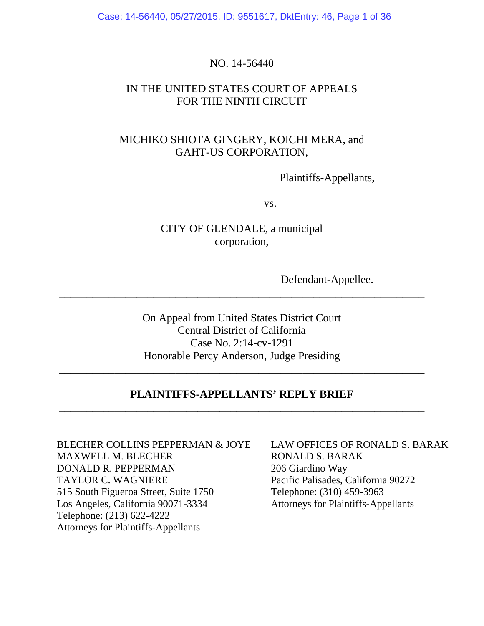Case: 14-56440, 05/27/2015, ID: 9551617, DktEntry: 46, Page 1 of 36

### NO. 14-56440

### IN THE UNITED STATES COURT OF APPEALS FOR THE NINTH CIRCUIT

\_\_\_\_\_\_\_\_\_\_\_\_\_\_\_\_\_\_\_\_\_\_\_\_\_\_\_\_\_\_\_\_\_\_\_\_\_\_\_\_\_\_\_\_\_\_\_\_\_\_\_\_\_\_\_\_\_\_\_\_

### MICHIKO SHIOTA GINGERY, KOICHI MERA, and GAHT-US CORPORATION,

Plaintiffs-Appellants,

vs.

CITY OF GLENDALE, a municipal corporation,

Defendant-Appellee.

On Appeal from United States District Court Central District of California Case No. 2:14-cv-1291 Honorable Percy Anderson, Judge Presiding

\_\_\_\_\_\_\_\_\_\_\_\_\_\_\_\_\_\_\_\_\_\_\_\_\_\_\_\_\_\_\_\_\_\_\_\_\_\_\_\_\_\_\_\_\_\_\_\_\_\_\_\_\_\_\_\_\_\_\_\_\_\_\_\_\_\_

### **PLAINTIFFS-APPELLANTS' REPLY BRIEF \_\_\_\_\_\_\_\_\_\_\_\_\_\_\_\_\_\_\_\_\_\_\_\_\_\_\_\_\_\_\_\_\_\_\_\_\_\_\_\_\_\_\_\_\_\_\_\_\_\_\_\_\_\_\_\_\_\_\_\_\_\_\_\_\_\_**

 $\overline{a_1}$  , and the set of the set of the set of the set of the set of the set of the set of the set of the set of the set of the set of the set of the set of the set of the set of the set of the set of the set of the se

BLECHER COLLINS PEPPERMAN & JOYE LAW OFFICES OF RONALD S. BARAK MAXWELL M. BLECHER DONALD R. PEPPERMAN TAYLOR C. WAGNIERE 515 South Figueroa Street, Suite 1750 Los Angeles, California 90071-3334 Telephone: (213) 622-4222 Attorneys for Plaintiffs-Appellants

RONALD S. BARAK 206 Giardino Way Pacific Palisades, California 90272 Telephone: (310) 459-3963 Attorneys for Plaintiffs-Appellants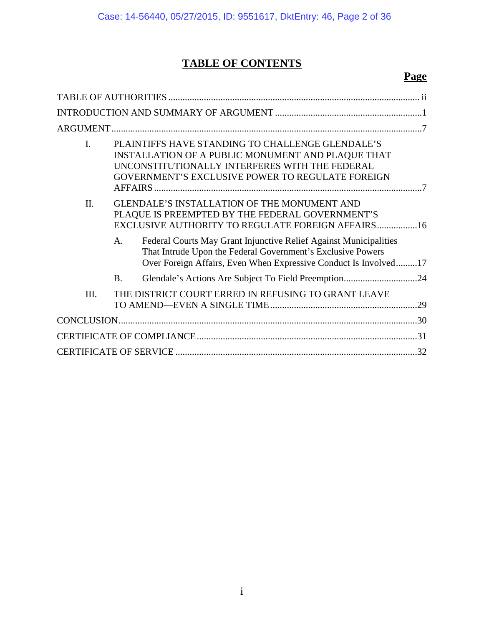# **TABLE OF CONTENTS**

# **Page**

| $\mathbf{I}$ . |                | PLAINTIFFS HAVE STANDING TO CHALLENGE GLENDALE'S<br>INSTALLATION OF A PUBLIC MONUMENT AND PLAQUE THAT<br>UNCONSTITUTIONALLY INTERFERES WITH THE FEDERAL<br>GOVERNMENT'S EXCLUSIVE POWER TO REGULATE FOREIGN |     |  |  |
|----------------|----------------|-------------------------------------------------------------------------------------------------------------------------------------------------------------------------------------------------------------|-----|--|--|
| II.            |                | <b>GLENDALE'S INSTALLATION OF THE MONUMENT AND</b><br>PLAQUE IS PREEMPTED BY THE FEDERAL GOVERNMENT'S<br><b>EXCLUSIVE AUTHORITY TO REGULATE FOREIGN AFFAIRS16</b>                                           |     |  |  |
|                | $\mathsf{A}$ . | Federal Courts May Grant Injunctive Relief Against Municipalities<br>That Intrude Upon the Federal Government's Exclusive Powers<br>Over Foreign Affairs, Even When Expressive Conduct Is Involved17        |     |  |  |
|                | <b>B.</b>      |                                                                                                                                                                                                             |     |  |  |
| III.           |                | THE DISTRICT COURT ERRED IN REFUSING TO GRANT LEAVE                                                                                                                                                         |     |  |  |
|                |                |                                                                                                                                                                                                             |     |  |  |
|                |                |                                                                                                                                                                                                             |     |  |  |
|                |                |                                                                                                                                                                                                             | -32 |  |  |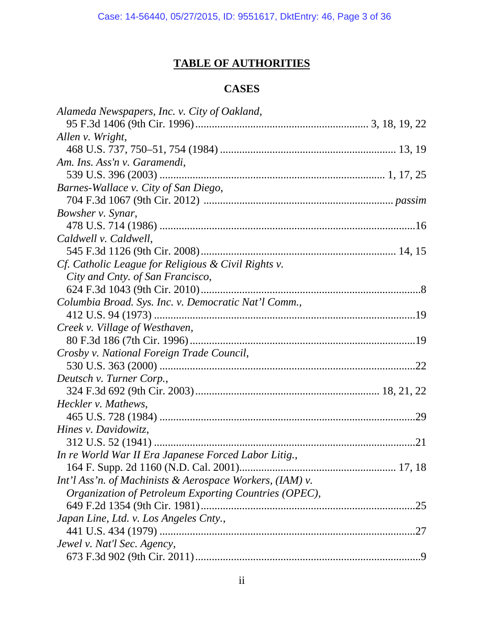# **TABLE OF AUTHORITIES**

# **CASES**

| Alameda Newspapers, Inc. v. City of Oakland,             |  |
|----------------------------------------------------------|--|
|                                                          |  |
| Allen v. Wright,                                         |  |
|                                                          |  |
| Am. Ins. Ass'n v. Garamendi,                             |  |
|                                                          |  |
| Barnes-Wallace v. City of San Diego,                     |  |
|                                                          |  |
| Bowsher v. Synar,                                        |  |
|                                                          |  |
| Caldwell v. Caldwell,                                    |  |
|                                                          |  |
| Cf. Catholic League for Religious & Civil Rights v.      |  |
| City and Cnty. of San Francisco,                         |  |
|                                                          |  |
| Columbia Broad. Sys. Inc. v. Democratic Nat'l Comm.,     |  |
|                                                          |  |
| Creek v. Village of Westhaven,                           |  |
|                                                          |  |
| Crosby v. National Foreign Trade Council,                |  |
|                                                          |  |
| Deutsch v. Turner Corp.,                                 |  |
|                                                          |  |
| Heckler v. Mathews,                                      |  |
|                                                          |  |
| Hines v. Davidowitz,                                     |  |
|                                                          |  |
| In re World War II Era Japanese Forced Labor Litig.,     |  |
|                                                          |  |
| Int'l Ass'n. of Machinists & Aerospace Workers, (IAM) v. |  |
| Organization of Petroleum Exporting Countries (OPEC),    |  |
|                                                          |  |
| Japan Line, Ltd. v. Los Angeles Cnty.,                   |  |
|                                                          |  |
| Jewel v. Nat'l Sec. Agency,                              |  |
|                                                          |  |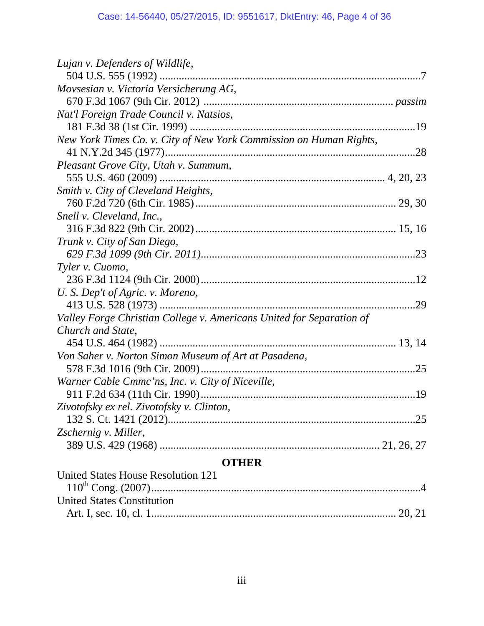| Lujan v. Defenders of Wildlife,                                      |
|----------------------------------------------------------------------|
|                                                                      |
| Movsesian v. Victoria Versicherung AG,                               |
|                                                                      |
| Nat'l Foreign Trade Council v. Natsios,                              |
|                                                                      |
| New York Times Co. v. City of New York Commission on Human Rights,   |
|                                                                      |
| Pleasant Grove City, Utah v. Summum,                                 |
|                                                                      |
| Smith v. City of Cleveland Heights,                                  |
|                                                                      |
| Snell v. Cleveland, Inc.,                                            |
|                                                                      |
| Trunk v. City of San Diego,                                          |
| .23                                                                  |
| Tyler v. Cuomo,                                                      |
|                                                                      |
| U. S. Dep't of Agric. v. Moreno,                                     |
|                                                                      |
| Valley Forge Christian College v. Americans United for Separation of |
| Church and State,                                                    |
|                                                                      |
| Von Saher v. Norton Simon Museum of Art at Pasadena,                 |
|                                                                      |
| Warner Cable Cmmc'ns, Inc. v. City of Niceville,                     |
|                                                                      |
| Zivotofsky ex rel. Zivotofsky v. Clinton,                            |
|                                                                      |
| Zschernig v. Miller,                                                 |
|                                                                      |
| <b>OTHER</b>                                                         |
| <b>United States House Resolution 121</b>                            |
|                                                                      |
| <b>United States Constitution</b>                                    |

Art. I, sec. 10, cl. 1......................................................................................... 20, 21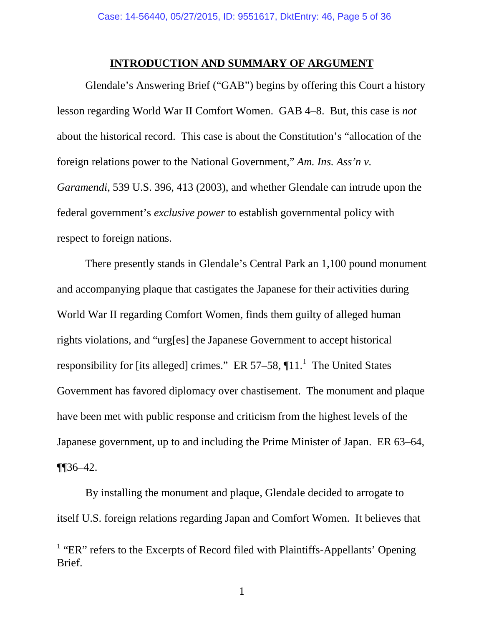### **INTRODUCTION AND SUMMARY OF ARGUMENT**

Glendale's Answering Brief ("GAB") begins by offering this Court a history lesson regarding World War II Comfort Women. GAB 4–8. But, this case is *not* about the historical record. This case is about the Constitution's "allocation of the foreign relations power to the National Government," *Am. Ins. Ass'n v. Garamendi*, 539 U.S. 396, 413 (2003), and whether Glendale can intrude upon the federal government's *exclusive power* to establish governmental policy with respect to foreign nations.

There presently stands in Glendale's Central Park an 1,100 pound monument and accompanying plaque that castigates the Japanese for their activities during World War II regarding Comfort Women, finds them guilty of alleged human rights violations, and "urg[es] the Japanese Government to accept historical responsibility for [its alleged] crimes." ER 57–58,  $\P{11}$ . The United States Government has favored diplomacy over chastisement. The monument and plaque have been met with public response and criticism from the highest levels of the Japanese government, up to and including the Prime Minister of Japan. ER 63–64,  $\P$  $[36-42.$ 

By installing the monument and plaque, Glendale decided to arrogate to itself U.S. foreign relations regarding Japan and Comfort Women. It believes that

 $\overline{a}$ 

 $<sup>1</sup>$  "ER" refers to the Excerpts of Record filed with Plaintiffs-Appellants' Opening</sup> Brief.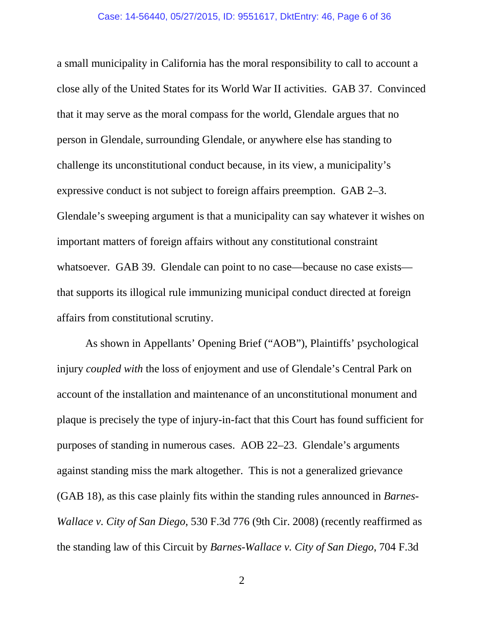a small municipality in California has the moral responsibility to call to account a close ally of the United States for its World War II activities. GAB 37. Convinced that it may serve as the moral compass for the world, Glendale argues that no person in Glendale, surrounding Glendale, or anywhere else has standing to challenge its unconstitutional conduct because, in its view, a municipality's expressive conduct is not subject to foreign affairs preemption. GAB 2–3. Glendale's sweeping argument is that a municipality can say whatever it wishes on important matters of foreign affairs without any constitutional constraint whatsoever. GAB 39. Glendale can point to no case—because no case exists that supports its illogical rule immunizing municipal conduct directed at foreign affairs from constitutional scrutiny.

As shown in Appellants' Opening Brief ("AOB"), Plaintiffs' psychological injury *coupled with* the loss of enjoyment and use of Glendale's Central Park on account of the installation and maintenance of an unconstitutional monument and plaque is precisely the type of injury-in-fact that this Court has found sufficient for purposes of standing in numerous cases. AOB 22–23. Glendale's arguments against standing miss the mark altogether. This is not a generalized grievance (GAB 18), as this case plainly fits within the standing rules announced in *Barnes-Wallace v. City of San Diego*, 530 F.3d 776 (9th Cir. 2008) (recently reaffirmed as the standing law of this Circuit by *Barnes-Wallace v. City of San Diego*, 704 F.3d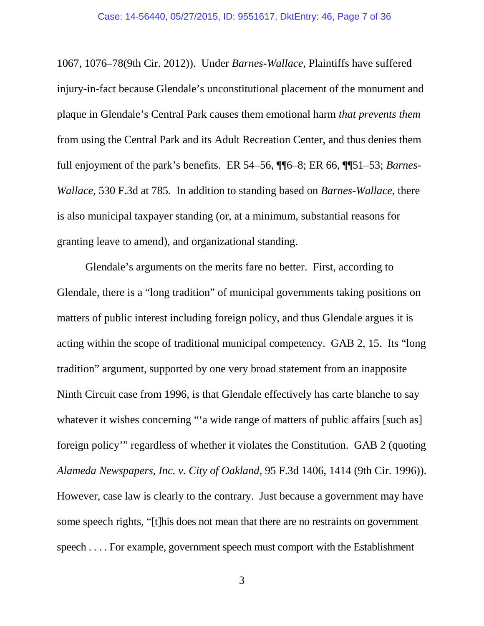1067, 1076–78(9th Cir. 2012)). Under *Barnes-Wallace*, Plaintiffs have suffered injury-in-fact because Glendale's unconstitutional placement of the monument and plaque in Glendale's Central Park causes them emotional harm *that prevents them* from using the Central Park and its Adult Recreation Center, and thus denies them full enjoyment of the park's benefits. ER 54–56, ¶¶6–8; ER 66, ¶¶51–53; *Barnes-Wallace*, 530 F.3d at 785. In addition to standing based on *Barnes-Wallace*, there is also municipal taxpayer standing (or, at a minimum, substantial reasons for granting leave to amend), and organizational standing.

Glendale's arguments on the merits fare no better. First, according to Glendale, there is a "long tradition" of municipal governments taking positions on matters of public interest including foreign policy, and thus Glendale argues it is acting within the scope of traditional municipal competency. GAB 2, 15. Its "long tradition" argument, supported by one very broad statement from an inapposite Ninth Circuit case from 1996, is that Glendale effectively has carte blanche to say whatever it wishes concerning "'a wide range of matters of public affairs [such as] foreign policy'" regardless of whether it violates the Constitution. GAB 2 (quoting *Alameda Newspapers, Inc. v. City of Oakland*, 95 F.3d 1406, 1414 (9th Cir. 1996)). However, case law is clearly to the contrary. Just because a government may have some speech rights, "[t]his does not mean that there are no restraints on government speech . . . . For example, government speech must comport with the Establishment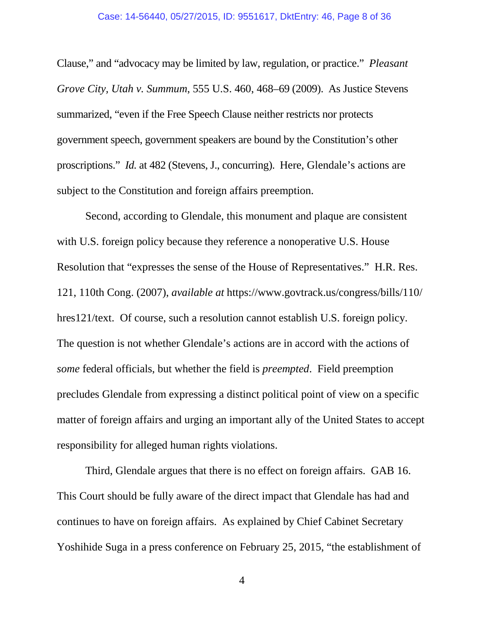#### Case: 14-56440, 05/27/2015, ID: 9551617, DktEntry: 46, Page 8 of 36

Clause," and "advocacy may be limited by law, regulation, or practice." *Pleasant Grove City, Utah v. Summum*, 555 U.S. 460, 468–69 (2009). As Justice Stevens summarized, "even if the Free Speech Clause neither restricts nor protects government speech, government speakers are bound by the Constitution's other proscriptions." *Id.* at 482 (Stevens, J., concurring). Here, Glendale's actions are subject to the Constitution and foreign affairs preemption.

Second, according to Glendale, this monument and plaque are consistent with U.S. foreign policy because they reference a nonoperative U.S. House Resolution that "expresses the sense of the House of Representatives." H.R. Res. 121, 110th Cong. (2007), *available at* https://www.govtrack.us/congress/bills/110/ hres121/text. Of course, such a resolution cannot establish U.S. foreign policy. The question is not whether Glendale's actions are in accord with the actions of *some* federal officials, but whether the field is *preempted*. Field preemption precludes Glendale from expressing a distinct political point of view on a specific matter of foreign affairs and urging an important ally of the United States to accept responsibility for alleged human rights violations.

Third, Glendale argues that there is no effect on foreign affairs. GAB 16. This Court should be fully aware of the direct impact that Glendale has had and continues to have on foreign affairs. As explained by Chief Cabinet Secretary Yoshihide Suga in a press conference on February 25, 2015, "the establishment of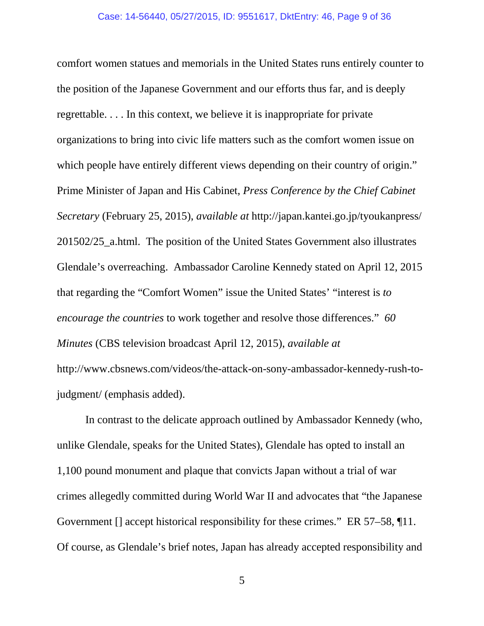comfort women statues and memorials in the United States runs entirely counter to the position of the Japanese Government and our efforts thus far, and is deeply regrettable. . . . In this context, we believe it is inappropriate for private organizations to bring into civic life matters such as the comfort women issue on which people have entirely different views depending on their country of origin." Prime Minister of Japan and His Cabinet, *Press Conference by the Chief Cabinet Secretary* (February 25, 2015), *available at* http://japan.kantei.go.jp/tyoukanpress/ 201502/25\_a.html.The position of the United States Government also illustrates Glendale's overreaching. Ambassador Caroline Kennedy stated on April 12, 2015 that regarding the "Comfort Women" issue the United States' "interest is *to encourage the countries* to work together and resolve those differences." *60 Minutes* (CBS television broadcast April 12, 2015), *available at*  http://www.cbsnews.com/videos/the-attack-on-sony-ambassador-kennedy-rush-tojudgment/ (emphasis added).

In contrast to the delicate approach outlined by Ambassador Kennedy (who, unlike Glendale, speaks for the United States), Glendale has opted to install an 1,100 pound monument and plaque that convicts Japan without a trial of war crimes allegedly committed during World War II and advocates that "the Japanese Government [] accept historical responsibility for these crimes." ER 57–58, 111. Of course, as Glendale's brief notes, Japan has already accepted responsibility and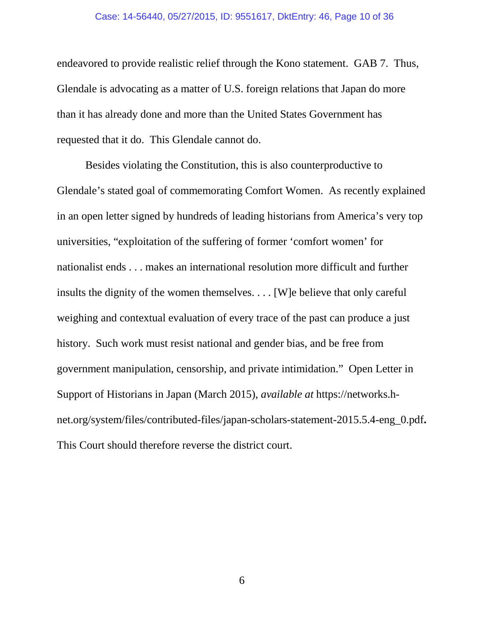#### Case: 14-56440, 05/27/2015, ID: 9551617, DktEntry: 46, Page 10 of 36

endeavored to provide realistic relief through the Kono statement. GAB 7. Thus, Glendale is advocating as a matter of U.S. foreign relations that Japan do more than it has already done and more than the United States Government has requested that it do. This Glendale cannot do.

Besides violating the Constitution, this is also counterproductive to Glendale's stated goal of commemorating Comfort Women. As recently explained in an open letter signed by hundreds of leading historians from America's very top universities, "exploitation of the suffering of former 'comfort women' for nationalist ends . . . makes an international resolution more difficult and further insults the dignity of the women themselves. . . . [W]e believe that only careful weighing and contextual evaluation of every trace of the past can produce a just history. Such work must resist national and gender bias, and be free from government manipulation, censorship, and private intimidation." Open Letter in Support of Historians in Japan (March 2015), *available at* https://networks.hnet.org/system/files/contributed-files/japan-scholars-statement-2015.5.4-eng\_0.pdf**.**  This Court should therefore reverse the district court.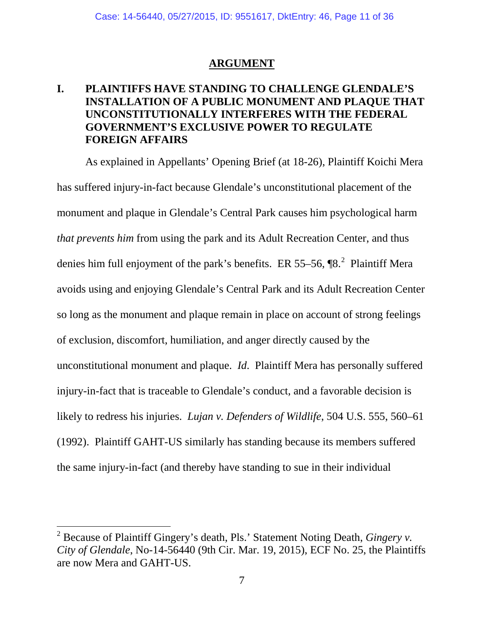### **ARGUMENT**

## **I. PLAINTIFFS HAVE STANDING TO CHALLENGE GLENDALE'S INSTALLATION OF A PUBLIC MONUMENT AND PLAQUE THAT UNCONSTITUTIONALLY INTERFERES WITH THE FEDERAL GOVERNMENT'S EXCLUSIVE POWER TO REGULATE FOREIGN AFFAIRS**

As explained in Appellants' Opening Brief (at 18-26), Plaintiff Koichi Mera has suffered injury-in-fact because Glendale's unconstitutional placement of the monument and plaque in Glendale's Central Park causes him psychological harm *that prevents him* from using the park and its Adult Recreation Center, and thus denies him full enjoyment of the park's benefits. ER 55–56,  $\sqrt{8}$ . Plaintiff Mera avoids using and enjoying Glendale's Central Park and its Adult Recreation Center so long as the monument and plaque remain in place on account of strong feelings of exclusion, discomfort, humiliation, and anger directly caused by the unconstitutional monument and plaque. *Id*. Plaintiff Mera has personally suffered injury-in-fact that is traceable to Glendale's conduct, and a favorable decision is likely to redress his injuries. *Lujan v. Defenders of Wildlife*, 504 U.S. 555, 560–61 (1992). Plaintiff GAHT-US similarly has standing because its members suffered the same injury-in-fact (and thereby have standing to sue in their individual

 $\overline{a}$ 

<sup>2</sup> Because of Plaintiff Gingery's death, Pls.' Statement Noting Death, *Gingery v. City of Glendale*, No-14-56440 (9th Cir. Mar. 19, 2015), ECF No. 25, the Plaintiffs are now Mera and GAHT-US.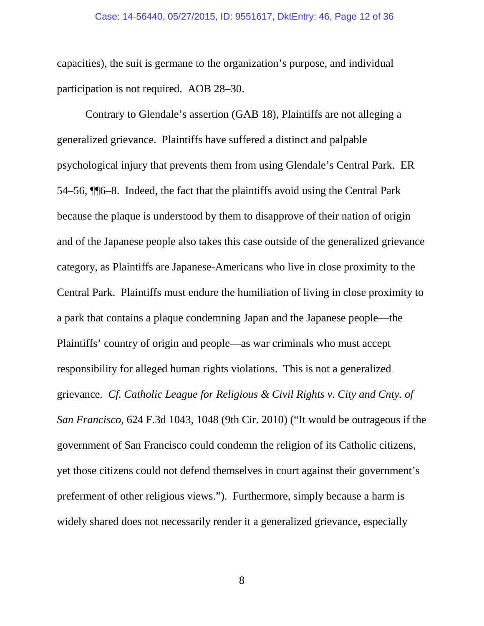#### Case: 14-56440, 05/27/2015, ID: 9551617, DktEntry: 46, Page 12 of 36

capacities), the suit is germane to the organization's purpose, and individual participation is not required. AOB 28–30.

Contrary to Glendale's assertion (GAB 18), Plaintiffs are not alleging a generalized grievance. Plaintiffs have suffered a distinct and palpable psychological injury that prevents them from using Glendale's Central Park. ER 54–56, ¶¶6–8. Indeed, the fact that the plaintiffs avoid using the Central Park because the plaque is understood by them to disapprove of their nation of origin and of the Japanese people also takes this case outside of the generalized grievance category, as Plaintiffs are Japanese-Americans who live in close proximity to the Central Park. Plaintiffs must endure the humiliation of living in close proximity to a park that contains a plaque condemning Japan and the Japanese people—the Plaintiffs' country of origin and people—as war criminals who must accept responsibility for alleged human rights violations. This is not a generalized grievance. *Cf. Catholic League for Religious & Civil Rights v. City and Cnty. of San Francisco*, 624 F.3d 1043, 1048 (9th Cir. 2010) ("It would be outrageous if the government of San Francisco could condemn the religion of its Catholic citizens, yet those citizens could not defend themselves in court against their government's preferment of other religious views."). Furthermore, simply because a harm is widely shared does not necessarily render it a generalized grievance, especially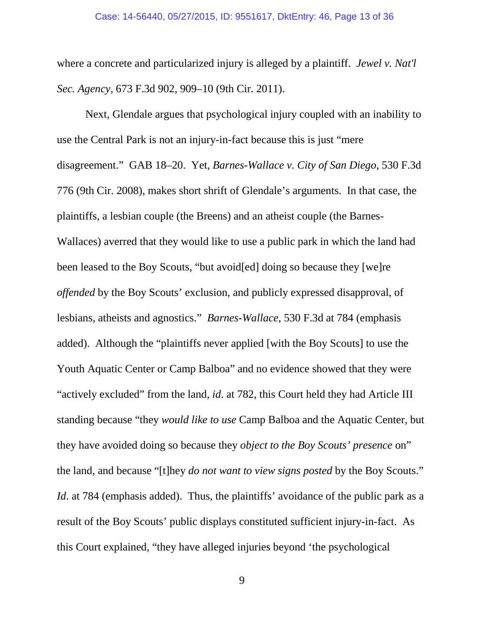where a concrete and particularized injury is alleged by a plaintiff. *Jewel v. Nat'l Sec. Agency*, 673 F.3d 902, 909–10 (9th Cir. 2011).

Next, Glendale argues that psychological injury coupled with an inability to use the Central Park is not an injury-in-fact because this is just "mere disagreement." GAB 18–20. Yet, *Barnes-Wallace v. City of San Diego*, 530 F.3d 776 (9th Cir. 2008), makes short shrift of Glendale's arguments. In that case, the plaintiffs, a lesbian couple (the Breens) and an atheist couple (the Barnes-Wallaces) averred that they would like to use a public park in which the land had been leased to the Boy Scouts, "but avoid[ed] doing so because they [we]re *offended* by the Boy Scouts' exclusion, and publicly expressed disapproval, of lesbians, atheists and agnostics." *Barnes-Wallace*, 530 F.3d at 784 (emphasis added). Although the "plaintiffs never applied [with the Boy Scouts] to use the Youth Aquatic Center or Camp Balboa" and no evidence showed that they were "actively excluded" from the land, *id*. at 782, this Court held they had Article III standing because "they *would like to use* Camp Balboa and the Aquatic Center, but they have avoided doing so because they *object to the Boy Scouts' presence* on" the land, and because "[t]hey *do not want to view signs posted* by the Boy Scouts." *Id*. at 784 (emphasis added). Thus, the plaintiffs' avoidance of the public park as a result of the Boy Scouts' public displays constituted sufficient injury-in-fact. As this Court explained, "they have alleged injuries beyond 'the psychological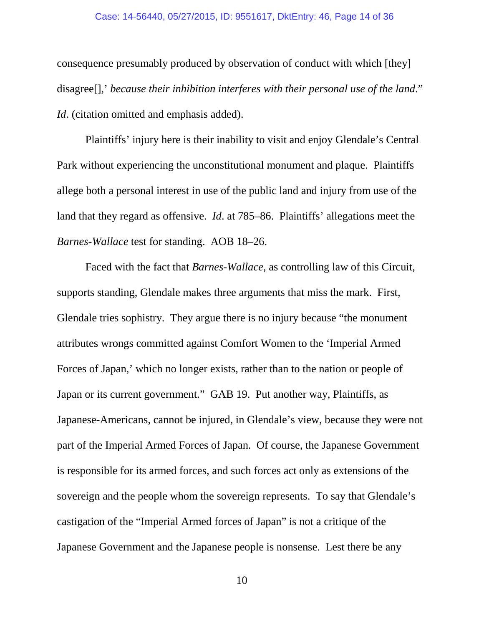#### Case: 14-56440, 05/27/2015, ID: 9551617, DktEntry: 46, Page 14 of 36

consequence presumably produced by observation of conduct with which [they] disagree[],' *because their inhibition interferes with their personal use of the land*." *Id.* (citation omitted and emphasis added).

Plaintiffs' injury here is their inability to visit and enjoy Glendale's Central Park without experiencing the unconstitutional monument and plaque. Plaintiffs allege both a personal interest in use of the public land and injury from use of the land that they regard as offensive. *Id*. at 785–86. Plaintiffs' allegations meet the *Barnes-Wallace* test for standing. AOB 18–26.

Faced with the fact that *Barnes-Wallace*, as controlling law of this Circuit, supports standing, Glendale makes three arguments that miss the mark. First, Glendale tries sophistry. They argue there is no injury because "the monument attributes wrongs committed against Comfort Women to the 'Imperial Armed Forces of Japan,' which no longer exists, rather than to the nation or people of Japan or its current government." GAB 19. Put another way, Plaintiffs, as Japanese-Americans, cannot be injured, in Glendale's view, because they were not part of the Imperial Armed Forces of Japan. Of course, the Japanese Government is responsible for its armed forces, and such forces act only as extensions of the sovereign and the people whom the sovereign represents. To say that Glendale's castigation of the "Imperial Armed forces of Japan" is not a critique of the Japanese Government and the Japanese people is nonsense. Lest there be any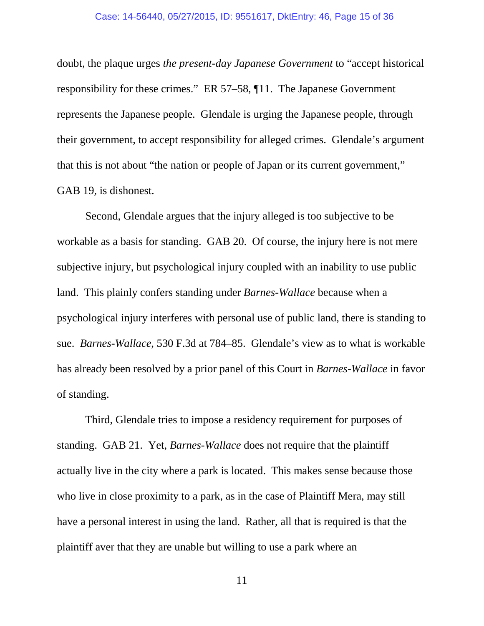#### Case: 14-56440, 05/27/2015, ID: 9551617, DktEntry: 46, Page 15 of 36

doubt, the plaque urges *the present-day Japanese Government* to "accept historical responsibility for these crimes." ER 57–58, ¶11. The Japanese Government represents the Japanese people. Glendale is urging the Japanese people, through their government, to accept responsibility for alleged crimes. Glendale's argument that this is not about "the nation or people of Japan or its current government," GAB 19, is dishonest.

Second, Glendale argues that the injury alleged is too subjective to be workable as a basis for standing. GAB 20. Of course, the injury here is not mere subjective injury, but psychological injury coupled with an inability to use public land. This plainly confers standing under *Barnes-Wallace* because when a psychological injury interferes with personal use of public land, there is standing to sue. *Barnes-Wallace*, 530 F.3d at 784–85. Glendale's view as to what is workable has already been resolved by a prior panel of this Court in *Barnes-Wallace* in favor of standing.

Third, Glendale tries to impose a residency requirement for purposes of standing. GAB 21. Yet, *Barnes-Wallace* does not require that the plaintiff actually live in the city where a park is located. This makes sense because those who live in close proximity to a park, as in the case of Plaintiff Mera, may still have a personal interest in using the land. Rather, all that is required is that the plaintiff aver that they are unable but willing to use a park where an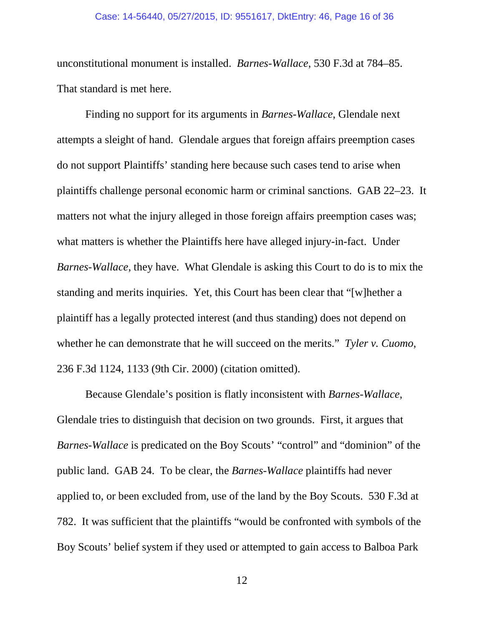#### Case: 14-56440, 05/27/2015, ID: 9551617, DktEntry: 46, Page 16 of 36

unconstitutional monument is installed. *Barnes-Wallace*, 530 F.3d at 784–85. That standard is met here.

Finding no support for its arguments in *Barnes-Wallace*, Glendale next attempts a sleight of hand. Glendale argues that foreign affairs preemption cases do not support Plaintiffs' standing here because such cases tend to arise when plaintiffs challenge personal economic harm or criminal sanctions. GAB 22–23. It matters not what the injury alleged in those foreign affairs preemption cases was; what matters is whether the Plaintiffs here have alleged injury-in-fact. Under *Barnes-Wallace*, they have. What Glendale is asking this Court to do is to mix the standing and merits inquiries. Yet, this Court has been clear that "[w]hether a plaintiff has a legally protected interest (and thus standing) does not depend on whether he can demonstrate that he will succeed on the merits." *Tyler v. Cuomo*, 236 F.3d 1124, 1133 (9th Cir. 2000) (citation omitted).

Because Glendale's position is flatly inconsistent with *Barnes-Wallace*, Glendale tries to distinguish that decision on two grounds. First, it argues that *Barnes-Wallace* is predicated on the Boy Scouts' "control" and "dominion" of the public land. GAB 24. To be clear, the *Barnes-Wallace* plaintiffs had never applied to, or been excluded from, use of the land by the Boy Scouts. 530 F.3d at 782. It was sufficient that the plaintiffs "would be confronted with symbols of the Boy Scouts' belief system if they used or attempted to gain access to Balboa Park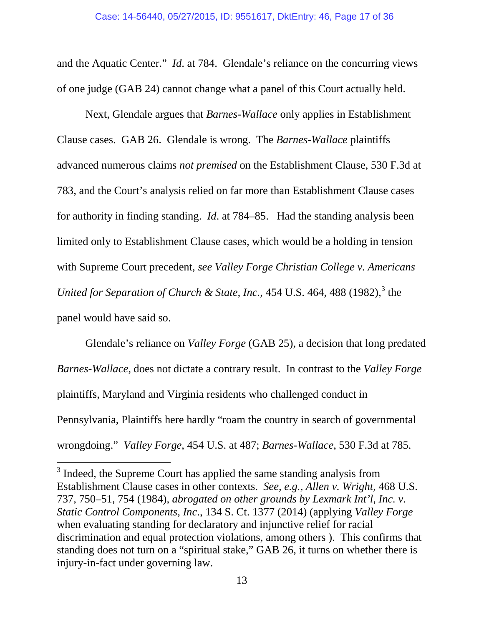and the Aquatic Center." *Id*. at 784. Glendale's reliance on the concurring views of one judge (GAB 24) cannot change what a panel of this Court actually held.

Next, Glendale argues that *Barnes-Wallace* only applies in Establishment Clause cases. GAB 26. Glendale is wrong. The *Barnes-Wallace* plaintiffs advanced numerous claims *not premised* on the Establishment Clause, 530 F.3d at 783, and the Court's analysis relied on far more than Establishment Clause cases for authority in finding standing. *Id*. at 784–85. Had the standing analysis been limited only to Establishment Clause cases, which would be a holding in tension with Supreme Court precedent, *see Valley Forge Christian College v. Americans*  United for Separation of Church & State, Inc., 454 U.S. 464, 488 (1982),<sup>3</sup> the panel would have said so.

Glendale's reliance on *Valley Forge* (GAB 25), a decision that long predated *Barnes-Wallace*, does not dictate a contrary result. In contrast to the *Valley Forge* plaintiffs, Maryland and Virginia residents who challenged conduct in Pennsylvania, Plaintiffs here hardly "roam the country in search of governmental wrongdoing." *Valley Forge*, 454 U.S. at 487; *Barnes-Wallace*, 530 F.3d at 785.

 $\overline{a}$ 

 $3$  Indeed, the Supreme Court has applied the same standing analysis from Establishment Clause cases in other contexts. *See, e.g.*, *Allen v. Wright*, 468 U.S. 737, 750–51, 754 (1984), *abrogated on other grounds by Lexmark Int'l, Inc. v. Static Control Components, Inc*., 134 S. Ct. 1377 (2014) (applying *Valley Forge* when evaluating standing for declaratory and injunctive relief for racial discrimination and equal protection violations, among others ). This confirms that standing does not turn on a "spiritual stake," GAB 26, it turns on whether there is injury-in-fact under governing law.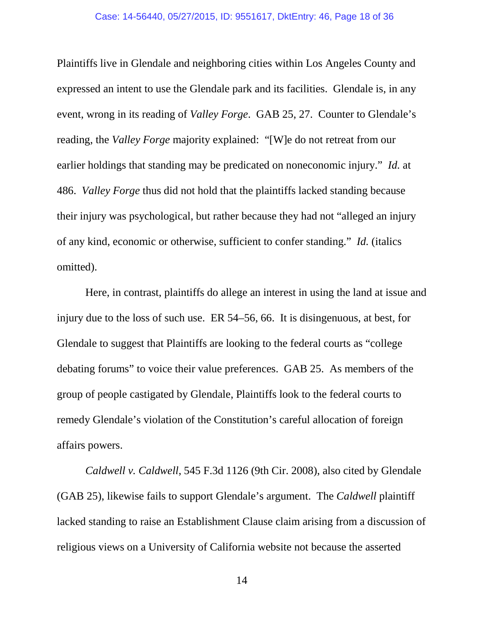#### Case: 14-56440, 05/27/2015, ID: 9551617, DktEntry: 46, Page 18 of 36

Plaintiffs live in Glendale and neighboring cities within Los Angeles County and expressed an intent to use the Glendale park and its facilities. Glendale is, in any event, wrong in its reading of *Valley Forge*. GAB 25, 27. Counter to Glendale's reading, the *Valley Forge* majority explained: "[W]e do not retreat from our earlier holdings that standing may be predicated on noneconomic injury." *Id.* at 486. *Valley Forge* thus did not hold that the plaintiffs lacked standing because their injury was psychological, but rather because they had not "alleged an injury of any kind, economic or otherwise, sufficient to confer standing." *Id.* (italics omitted).

Here, in contrast, plaintiffs do allege an interest in using the land at issue and injury due to the loss of such use. ER 54–56, 66. It is disingenuous, at best, for Glendale to suggest that Plaintiffs are looking to the federal courts as "college debating forums" to voice their value preferences. GAB 25. As members of the group of people castigated by Glendale, Plaintiffs look to the federal courts to remedy Glendale's violation of the Constitution's careful allocation of foreign affairs powers.

*Caldwell v. Caldwell*, 545 F.3d 1126 (9th Cir. 2008), also cited by Glendale (GAB 25), likewise fails to support Glendale's argument. The *Caldwell* plaintiff lacked standing to raise an Establishment Clause claim arising from a discussion of religious views on a University of California website not because the asserted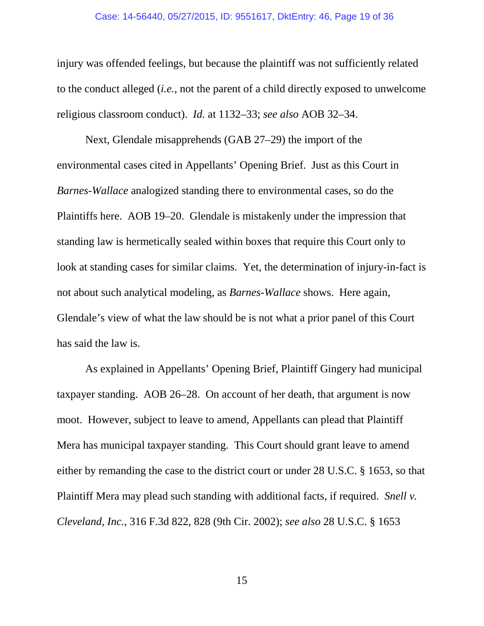#### Case: 14-56440, 05/27/2015, ID: 9551617, DktEntry: 46, Page 19 of 36

injury was offended feelings, but because the plaintiff was not sufficiently related to the conduct alleged (*i.e.*, not the parent of a child directly exposed to unwelcome religious classroom conduct). *Id.* at 1132–33; *see also* AOB 32–34.

Next, Glendale misapprehends (GAB 27–29) the import of the environmental cases cited in Appellants' Opening Brief. Just as this Court in *Barnes-Wallace* analogized standing there to environmental cases, so do the Plaintiffs here. AOB 19–20. Glendale is mistakenly under the impression that standing law is hermetically sealed within boxes that require this Court only to look at standing cases for similar claims. Yet, the determination of injury-in-fact is not about such analytical modeling, as *Barnes-Wallace* shows. Here again, Glendale's view of what the law should be is not what a prior panel of this Court has said the law is.

As explained in Appellants' Opening Brief, Plaintiff Gingery had municipal taxpayer standing. AOB 26–28. On account of her death, that argument is now moot. However, subject to leave to amend, Appellants can plead that Plaintiff Mera has municipal taxpayer standing. This Court should grant leave to amend either by remanding the case to the district court or under 28 U.S.C. § 1653, so that Plaintiff Mera may plead such standing with additional facts, if required. *Snell v. Cleveland, Inc.*, 316 F.3d 822, 828 (9th Cir. 2002); *see also* 28 U.S.C. § 1653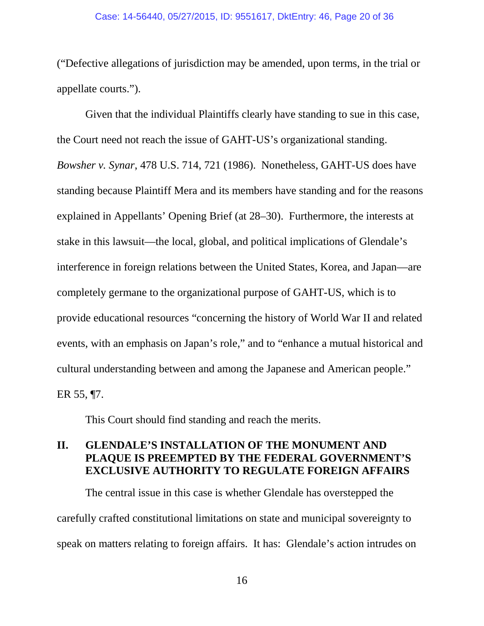("Defective allegations of jurisdiction may be amended, upon terms, in the trial or appellate courts.").

Given that the individual Plaintiffs clearly have standing to sue in this case, the Court need not reach the issue of GAHT-US's organizational standing. *Bowsher v. Synar*, 478 U.S. 714, 721 (1986). Nonetheless, GAHT-US does have standing because Plaintiff Mera and its members have standing and for the reasons explained in Appellants' Opening Brief (at 28–30). Furthermore, the interests at stake in this lawsuit—the local, global, and political implications of Glendale's interference in foreign relations between the United States, Korea, and Japan—are completely germane to the organizational purpose of GAHT-US, which is to provide educational resources "concerning the history of World War II and related events, with an emphasis on Japan's role," and to "enhance a mutual historical and cultural understanding between and among the Japanese and American people." ER 55, ¶7.

This Court should find standing and reach the merits.

### **II. GLENDALE'S INSTALLATION OF THE MONUMENT AND PLAQUE IS PREEMPTED BY THE FEDERAL GOVERNMENT'S EXCLUSIVE AUTHORITY TO REGULATE FOREIGN AFFAIRS**

The central issue in this case is whether Glendale has overstepped the carefully crafted constitutional limitations on state and municipal sovereignty to speak on matters relating to foreign affairs. It has: Glendale's action intrudes on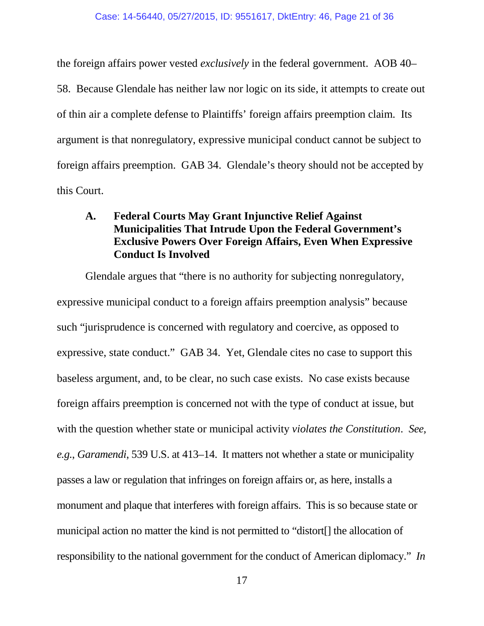the foreign affairs power vested *exclusively* in the federal government. AOB 40–

58. Because Glendale has neither law nor logic on its side, it attempts to create out of thin air a complete defense to Plaintiffs' foreign affairs preemption claim. Its argument is that nonregulatory, expressive municipal conduct cannot be subject to foreign affairs preemption. GAB 34. Glendale's theory should not be accepted by this Court.

## **A. Federal Courts May Grant Injunctive Relief Against Municipalities That Intrude Upon the Federal Government's Exclusive Powers Over Foreign Affairs, Even When Expressive Conduct Is Involved**

Glendale argues that "there is no authority for subjecting nonregulatory, expressive municipal conduct to a foreign affairs preemption analysis" because such "jurisprudence is concerned with regulatory and coercive, as opposed to expressive, state conduct." GAB 34. Yet, Glendale cites no case to support this baseless argument, and, to be clear, no such case exists. No case exists because foreign affairs preemption is concerned not with the type of conduct at issue, but with the question whether state or municipal activity *violates the Constitution*. *See, e.g.*, *Garamendi*, 539 U.S. at 413–14. It matters not whether a state or municipality passes a law or regulation that infringes on foreign affairs or, as here, installs a monument and plaque that interferes with foreign affairs. This is so because state or municipal action no matter the kind is not permitted to "distort[] the allocation of responsibility to the national government for the conduct of American diplomacy." *In*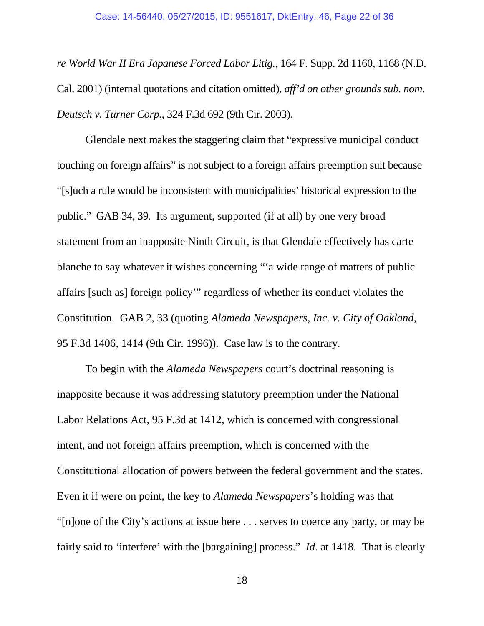*re World War II Era Japanese Forced Labor Litig.*, 164 F. Supp. 2d 1160, 1168 (N.D. Cal. 2001) (internal quotations and citation omitted), *aff'd on other grounds sub. nom. Deutsch v. Turner Corp.*, 324 F.3d 692 (9th Cir. 2003).

Glendale next makes the staggering claim that "expressive municipal conduct touching on foreign affairs" is not subject to a foreign affairs preemption suit because "[s]uch a rule would be inconsistent with municipalities' historical expression to the public." GAB 34, 39. Its argument, supported (if at all) by one very broad statement from an inapposite Ninth Circuit, is that Glendale effectively has carte blanche to say whatever it wishes concerning "'a wide range of matters of public affairs [such as] foreign policy'" regardless of whether its conduct violates the Constitution. GAB 2, 33 (quoting *Alameda Newspapers, Inc. v. City of Oakland*, 95 F.3d 1406, 1414 (9th Cir. 1996)). Case law is to the contrary.

To begin with the *Alameda Newspapers* court's doctrinal reasoning is inapposite because it was addressing statutory preemption under the National Labor Relations Act, 95 F.3d at 1412, which is concerned with congressional intent, and not foreign affairs preemption, which is concerned with the Constitutional allocation of powers between the federal government and the states. Even it if were on point, the key to *Alameda Newspapers*'s holding was that "[n]one of the City's actions at issue here . . . serves to coerce any party, or may be fairly said to 'interfere' with the [bargaining] process." *Id*. at 1418. That is clearly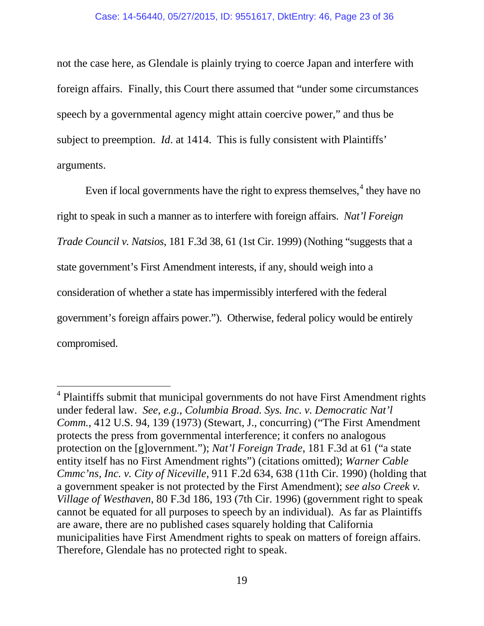not the case here, as Glendale is plainly trying to coerce Japan and interfere with foreign affairs. Finally, this Court there assumed that "under some circumstances speech by a governmental agency might attain coercive power," and thus be subject to preemption. *Id*. at 1414. This is fully consistent with Plaintiffs' arguments.

Even if local governments have the right to express themselves, $4$  they have no right to speak in such a manner as to interfere with foreign affairs. *Nat'l Foreign Trade Council v. Natsios*, 181 F.3d 38, 61 (1st Cir. 1999) (Nothing "suggests that a state government's First Amendment interests, if any, should weigh into a consideration of whether a state has impermissibly interfered with the federal government's foreign affairs power."). Otherwise, federal policy would be entirely compromised.

 $\overline{a}$ 

 $4$  Plaintiffs submit that municipal governments do not have First Amendment rights under federal law. *See, e.g.*, *Columbia Broad. Sys. Inc. v. Democratic Nat'l Comm.*, 412 U.S. 94, 139 (1973) (Stewart, J., concurring) ("The First Amendment protects the press from governmental interference; it confers no analogous protection on the [g]overnment."); *Nat'l Foreign Trade*, 181 F.3d at 61 ("a state entity itself has no First Amendment rights") (citations omitted); *Warner Cable Cmmc'ns, Inc. v. City of Niceville*, 911 F.2d 634, 638 (11th Cir. 1990) (holding that a government speaker is not protected by the First Amendment); *see also Creek v. Village of Westhaven*, 80 F.3d 186, 193 (7th Cir. 1996) (government right to speak cannot be equated for all purposes to speech by an individual). As far as Plaintiffs are aware, there are no published cases squarely holding that California municipalities have First Amendment rights to speak on matters of foreign affairs. Therefore, Glendale has no protected right to speak.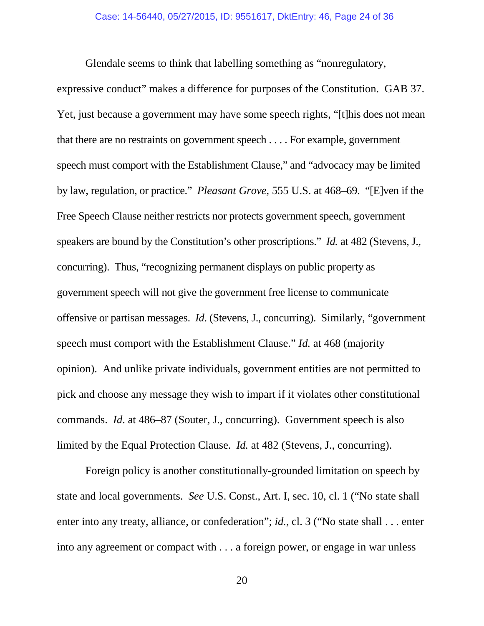Glendale seems to think that labelling something as "nonregulatory,

expressive conduct" makes a difference for purposes of the Constitution. GAB 37. Yet, just because a government may have some speech rights, "[t]his does not mean that there are no restraints on government speech . . . . For example, government speech must comport with the Establishment Clause," and "advocacy may be limited by law, regulation, or practice." *Pleasant Grove*, 555 U.S. at 468–69. "[E]ven if the Free Speech Clause neither restricts nor protects government speech, government speakers are bound by the Constitution's other proscriptions." *Id.* at 482 (Stevens, J., concurring). Thus, "recognizing permanent displays on public property as government speech will not give the government free license to communicate offensive or partisan messages. *Id*. (Stevens, J., concurring). Similarly, "government speech must comport with the Establishment Clause." *Id.* at 468 (majority opinion). And unlike private individuals, government entities are not permitted to pick and choose any message they wish to impart if it violates other constitutional commands. *Id*. at 486–87 (Souter, J., concurring). Government speech is also limited by the Equal Protection Clause. *Id.* at 482 (Stevens, J., concurring).

Foreign policy is another constitutionally-grounded limitation on speech by state and local governments. *See* U.S. Const., Art. I, sec. 10, cl. 1 ("No state shall enter into any treaty, alliance, or confederation"; *id.*, cl. 3 ("No state shall . . . enter into any agreement or compact with . . . a foreign power, or engage in war unless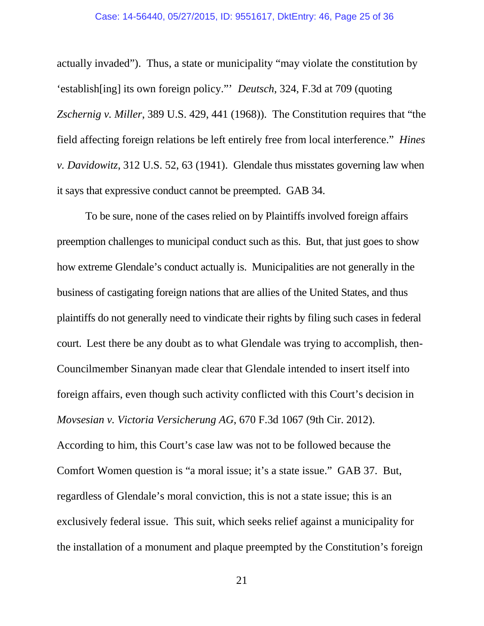#### Case: 14-56440, 05/27/2015, ID: 9551617, DktEntry: 46, Page 25 of 36

actually invaded"). Thus, a state or municipality "may violate the constitution by 'establish[ing] its own foreign policy."' *Deutsch*, 324, F.3d at 709 (quoting *Zschernig v. Miller*, 389 U.S. 429, 441 (1968)). The Constitution requires that "the field affecting foreign relations be left entirely free from local interference." *Hines v. Davidowitz*, 312 U.S. 52, 63 (1941). Glendale thus misstates governing law when it says that expressive conduct cannot be preempted. GAB 34.

To be sure, none of the cases relied on by Plaintiffs involved foreign affairs preemption challenges to municipal conduct such as this. But, that just goes to show how extreme Glendale's conduct actually is. Municipalities are not generally in the business of castigating foreign nations that are allies of the United States, and thus plaintiffs do not generally need to vindicate their rights by filing such cases in federal court. Lest there be any doubt as to what Glendale was trying to accomplish, then-Councilmember Sinanyan made clear that Glendale intended to insert itself into foreign affairs, even though such activity conflicted with this Court's decision in *Movsesian v. Victoria Versicherung AG*, 670 F.3d 1067 (9th Cir. 2012). According to him, this Court's case law was not to be followed because the Comfort Women question is "a moral issue; it's a state issue." GAB 37. But, regardless of Glendale's moral conviction, this is not a state issue; this is an exclusively federal issue. This suit, which seeks relief against a municipality for the installation of a monument and plaque preempted by the Constitution's foreign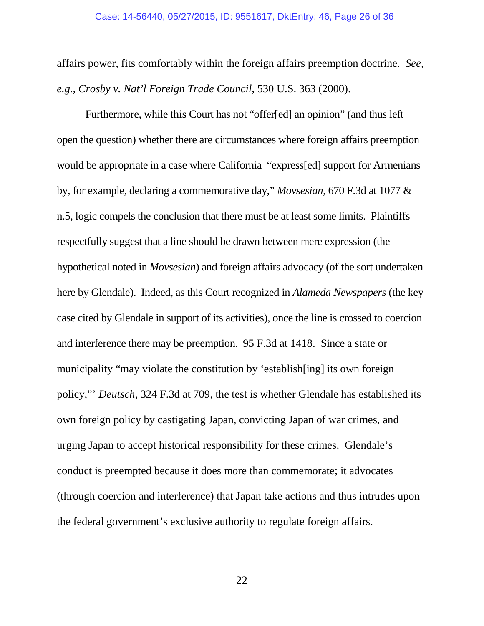affairs power, fits comfortably within the foreign affairs preemption doctrine. *See, e.g.*, *Crosby v. Nat'l Foreign Trade Council*, 530 U.S. 363 (2000).

Furthermore, while this Court has not "offer[ed] an opinion" (and thus left open the question) whether there are circumstances where foreign affairs preemption would be appropriate in a case where California "express[ed] support for Armenians by, for example, declaring a commemorative day," *Movsesian*, 670 F.3d at 1077 & n.5, logic compels the conclusion that there must be at least some limits. Plaintiffs respectfully suggest that a line should be drawn between mere expression (the hypothetical noted in *Movsesian*) and foreign affairs advocacy (of the sort undertaken here by Glendale). Indeed, as this Court recognized in *Alameda Newspapers* (the key case cited by Glendale in support of its activities), once the line is crossed to coercion and interference there may be preemption. 95 F.3d at 1418. Since a state or municipality "may violate the constitution by 'establish[ing] its own foreign policy,"' *Deutsch*, 324 F.3d at 709, the test is whether Glendale has established its own foreign policy by castigating Japan, convicting Japan of war crimes, and urging Japan to accept historical responsibility for these crimes. Glendale's conduct is preempted because it does more than commemorate; it advocates (through coercion and interference) that Japan take actions and thus intrudes upon the federal government's exclusive authority to regulate foreign affairs.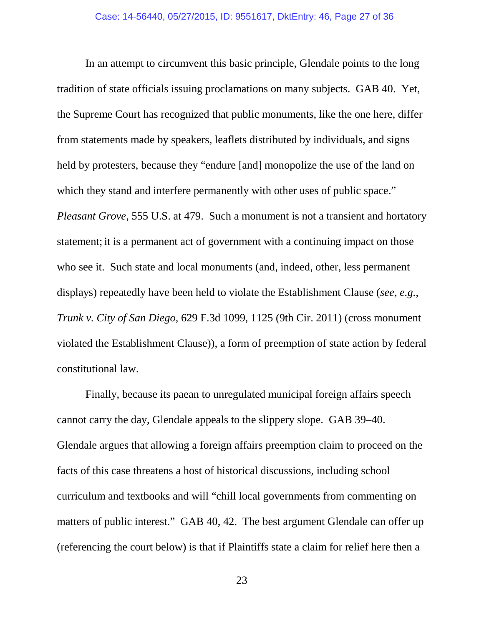In an attempt to circumvent this basic principle, Glendale points to the long tradition of state officials issuing proclamations on many subjects. GAB 40. Yet, the Supreme Court has recognized that public monuments, like the one here, differ from statements made by speakers, leaflets distributed by individuals, and signs held by protesters, because they "endure [and] monopolize the use of the land on which they stand and interfere permanently with other uses of public space." *Pleasant Grove*, 555 U.S. at 479. Such a monument is not a transient and hortatory statement; it is a permanent act of government with a continuing impact on those who see it. Such state and local monuments (and, indeed, other, less permanent displays) repeatedly have been held to violate the Establishment Clause (*see, e.g.*, *Trunk v. City of San Diego*, 629 F.3d 1099, 1125 (9th Cir. 2011) (cross monument violated the Establishment Clause)), a form of preemption of state action by federal constitutional law.

Finally, because its paean to unregulated municipal foreign affairs speech cannot carry the day, Glendale appeals to the slippery slope. GAB 39–40. Glendale argues that allowing a foreign affairs preemption claim to proceed on the facts of this case threatens a host of historical discussions, including school curriculum and textbooks and will "chill local governments from commenting on matters of public interest." GAB 40, 42. The best argument Glendale can offer up (referencing the court below) is that if Plaintiffs state a claim for relief here then a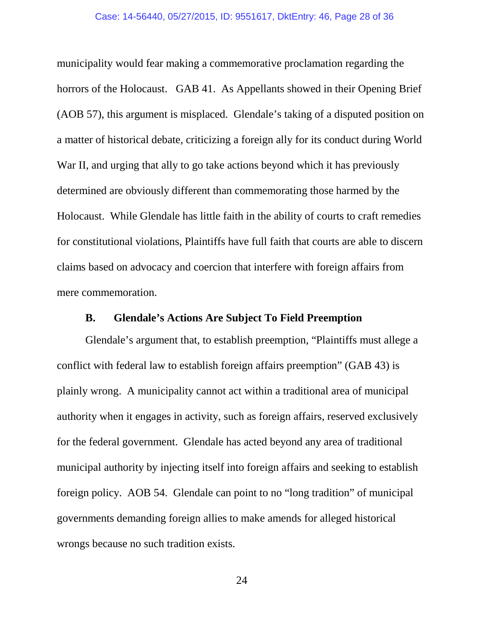#### Case: 14-56440, 05/27/2015, ID: 9551617, DktEntry: 46, Page 28 of 36

municipality would fear making a commemorative proclamation regarding the horrors of the Holocaust. GAB 41. As Appellants showed in their Opening Brief (AOB 57), this argument is misplaced. Glendale's taking of a disputed position on a matter of historical debate, criticizing a foreign ally for its conduct during World War II, and urging that ally to go take actions beyond which it has previously determined are obviously different than commemorating those harmed by the Holocaust. While Glendale has little faith in the ability of courts to craft remedies for constitutional violations, Plaintiffs have full faith that courts are able to discern claims based on advocacy and coercion that interfere with foreign affairs from mere commemoration.

### **B. Glendale's Actions Are Subject To Field Preemption**

Glendale's argument that, to establish preemption, "Plaintiffs must allege a conflict with federal law to establish foreign affairs preemption" (GAB 43) is plainly wrong. A municipality cannot act within a traditional area of municipal authority when it engages in activity, such as foreign affairs, reserved exclusively for the federal government. Glendale has acted beyond any area of traditional municipal authority by injecting itself into foreign affairs and seeking to establish foreign policy. AOB 54. Glendale can point to no "long tradition" of municipal governments demanding foreign allies to make amends for alleged historical wrongs because no such tradition exists.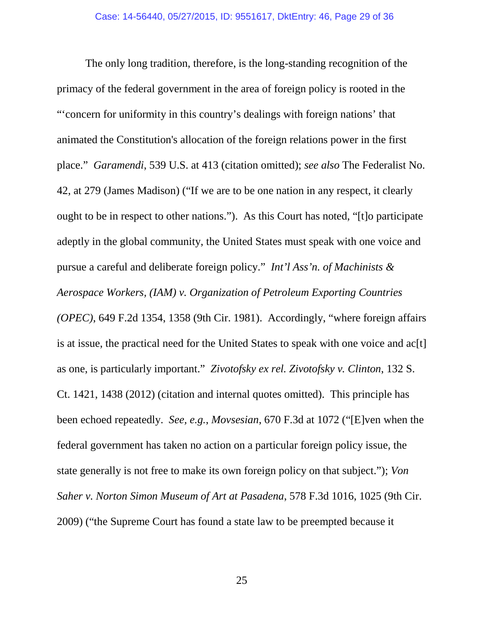The only long tradition, therefore, is the long-standing recognition of the primacy of the federal government in the area of foreign policy is rooted in the "'concern for uniformity in this country's dealings with foreign nations' that animated the Constitution's allocation of the foreign relations power in the first place." *Garamendi*, 539 U.S. at 413 (citation omitted); *see also* The Federalist No. 42, at 279 (James Madison) ("If we are to be one nation in any respect, it clearly ought to be in respect to other nations."). As this Court has noted, "[t]o participate adeptly in the global community, the United States must speak with one voice and pursue a careful and deliberate foreign policy." *Int'l Ass'n. of Machinists & Aerospace Workers, (IAM) v. Organization of Petroleum Exporting Countries (OPEC)*, 649 F.2d 1354, 1358 (9th Cir. 1981). Accordingly, "where foreign affairs is at issue, the practical need for the United States to speak with one voice and ac[t] as one, is particularly important." *Zivotofsky ex rel. Zivotofsky v. Clinton*, 132 S. Ct. 1421, 1438 (2012) (citation and internal quotes omitted). This principle has been echoed repeatedly. *See, e.g.*, *Movsesian*, 670 F.3d at 1072 ("[E]ven when the federal government has taken no action on a particular foreign policy issue, the state generally is not free to make its own foreign policy on that subject."); *Von Saher v. Norton Simon Museum of Art at Pasadena*, 578 F.3d 1016, 1025 (9th Cir. 2009) ("the Supreme Court has found a state law to be preempted because it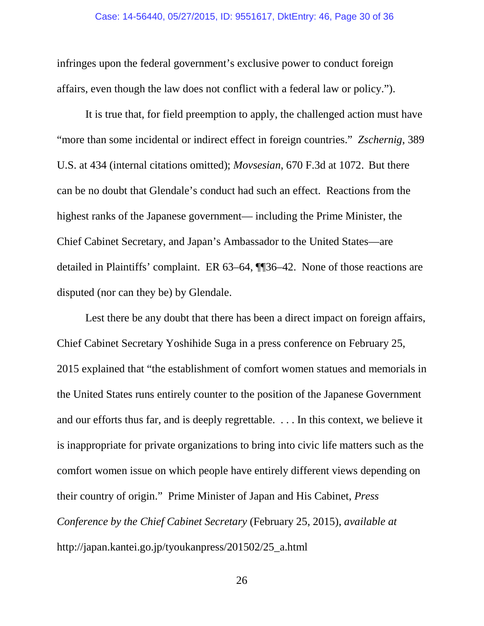infringes upon the federal government's exclusive power to conduct foreign affairs, even though the law does not conflict with a federal law or policy.").

It is true that, for field preemption to apply, the challenged action must have "more than some incidental or indirect effect in foreign countries." *Zschernig*, 389 U.S. at 434 (internal citations omitted); *Movsesian*, 670 F.3d at 1072. But there can be no doubt that Glendale's conduct had such an effect. Reactions from the highest ranks of the Japanese government— including the Prime Minister, the Chief Cabinet Secretary, and Japan's Ambassador to the United States—are detailed in Plaintiffs' complaint. ER 63–64, ¶¶36–42. None of those reactions are disputed (nor can they be) by Glendale.

Lest there be any doubt that there has been a direct impact on foreign affairs, Chief Cabinet Secretary Yoshihide Suga in a press conference on February 25, 2015 explained that "the establishment of comfort women statues and memorials in the United States runs entirely counter to the position of the Japanese Government and our efforts thus far, and is deeply regrettable. . . . In this context, we believe it is inappropriate for private organizations to bring into civic life matters such as the comfort women issue on which people have entirely different views depending on their country of origin." Prime Minister of Japan and His Cabinet, *Press Conference by the Chief Cabinet Secretary* (February 25, 2015), *available at*  http://japan.kantei.go.jp/tyoukanpress/201502/25\_a.html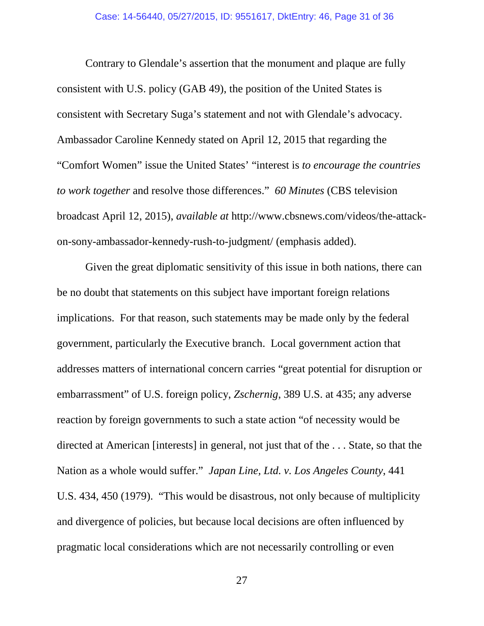Contrary to Glendale's assertion that the monument and plaque are fully consistent with U.S. policy (GAB 49), the position of the United States is consistent with Secretary Suga's statement and not with Glendale's advocacy. Ambassador Caroline Kennedy stated on April 12, 2015 that regarding the "Comfort Women" issue the United States' "interest is *to encourage the countries to work together* and resolve those differences." *60 Minutes* (CBS television broadcast April 12, 2015), *available at* http://www.cbsnews.com/videos/the-attackon-sony-ambassador-kennedy-rush-to-judgment/ (emphasis added).

Given the great diplomatic sensitivity of this issue in both nations, there can be no doubt that statements on this subject have important foreign relations implications. For that reason, such statements may be made only by the federal government, particularly the Executive branch. Local government action that addresses matters of international concern carries "great potential for disruption or embarrassment" of U.S. foreign policy, *Zschernig*, 389 U.S. at 435; any adverse reaction by foreign governments to such a state action "of necessity would be directed at American [interests] in general, not just that of the . . . State, so that the Nation as a whole would suffer." *Japan Line, Ltd. v. Los Angeles County*, 441 U.S. 434, 450 (1979). "This would be disastrous, not only because of multiplicity and divergence of policies, but because local decisions are often influenced by pragmatic local considerations which are not necessarily controlling or even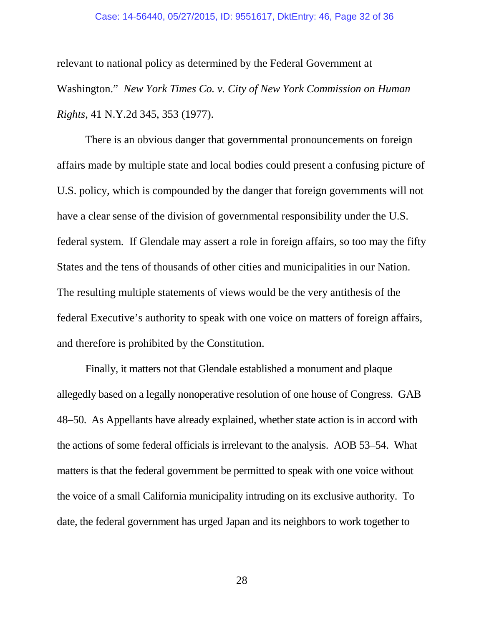#### Case: 14-56440, 05/27/2015, ID: 9551617, DktEntry: 46, Page 32 of 36

relevant to national policy as determined by the Federal Government at Washington." *New York Times Co. v. City of New York Commission on Human Rights*, 41 N.Y.2d 345, 353 (1977).

There is an obvious danger that governmental pronouncements on foreign affairs made by multiple state and local bodies could present a confusing picture of U.S. policy, which is compounded by the danger that foreign governments will not have a clear sense of the division of governmental responsibility under the U.S. federal system. If Glendale may assert a role in foreign affairs, so too may the fifty States and the tens of thousands of other cities and municipalities in our Nation. The resulting multiple statements of views would be the very antithesis of the federal Executive's authority to speak with one voice on matters of foreign affairs, and therefore is prohibited by the Constitution.

Finally, it matters not that Glendale established a monument and plaque allegedly based on a legally nonoperative resolution of one house of Congress. GAB 48–50. As Appellants have already explained, whether state action is in accord with the actions of some federal officials is irrelevant to the analysis. AOB 53–54. What matters is that the federal government be permitted to speak with one voice without the voice of a small California municipality intruding on its exclusive authority. To date, the federal government has urged Japan and its neighbors to work together to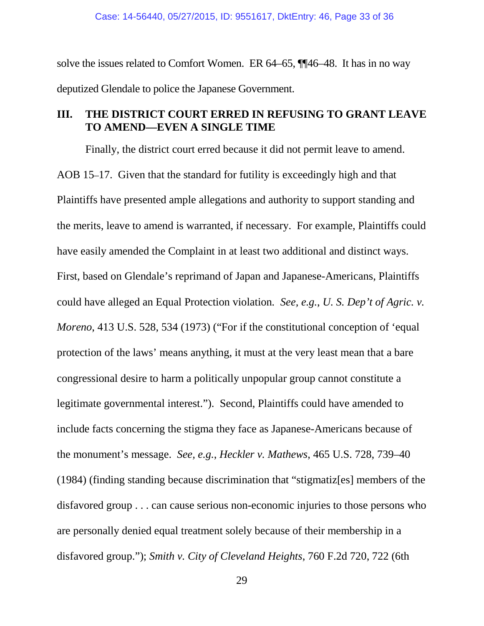solve the issues related to Comfort Women. ER 64–65, ¶¶46–48. It has in no way deputized Glendale to police the Japanese Government.

## **III. THE DISTRICT COURT ERRED IN REFUSING TO GRANT LEAVE TO AMEND—EVEN A SINGLE TIME**

Finally, the district court erred because it did not permit leave to amend. AOB 15–17. Given that the standard for futility is exceedingly high and that Plaintiffs have presented ample allegations and authority to support standing and the merits, leave to amend is warranted, if necessary. For example, Plaintiffs could have easily amended the Complaint in at least two additional and distinct ways. First, based on Glendale's reprimand of Japan and Japanese-Americans, Plaintiffs could have alleged an Equal Protection violation*. See, e.g.*, *U. S. Dep't of Agric. v. Moreno*, 413 U.S. 528, 534 (1973) ("For if the constitutional conception of 'equal protection of the laws' means anything, it must at the very least mean that a bare congressional desire to harm a politically unpopular group cannot constitute a legitimate governmental interest."). Second, Plaintiffs could have amended to include facts concerning the stigma they face as Japanese-Americans because of the monument's message. *See, e.g.*, *Heckler v. Mathews*, 465 U.S. 728, 739–40 (1984) (finding standing because discrimination that "stigmatiz[es] members of the disfavored group . . . can cause serious non-economic injuries to those persons who are personally denied equal treatment solely because of their membership in a disfavored group."); *Smith v. City of Cleveland Heights*, 760 F.2d 720, 722 (6th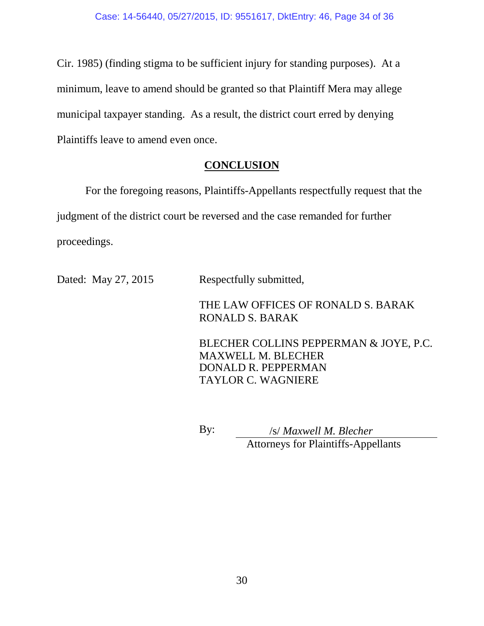Cir. 1985) (finding stigma to be sufficient injury for standing purposes). At a minimum, leave to amend should be granted so that Plaintiff Mera may allege municipal taxpayer standing. As a result, the district court erred by denying Plaintiffs leave to amend even once.

## **CONCLUSION**

For the foregoing reasons, Plaintiffs-Appellants respectfully request that the judgment of the district court be reversed and the case remanded for further proceedings.

Dated: May 27, 2015 Respectfully submitted,

THE LAW OFFICES OF RONALD S. BARAK RONALD S. BARAK

BLECHER COLLINS PEPPERMAN & JOYE, P.C. MAXWELL M. BLECHER DONALD R. PEPPERMAN TAYLOR C. WAGNIERE

By: /s/ *Maxwell M. Blecher* Attorneys for Plaintiffs-Appellants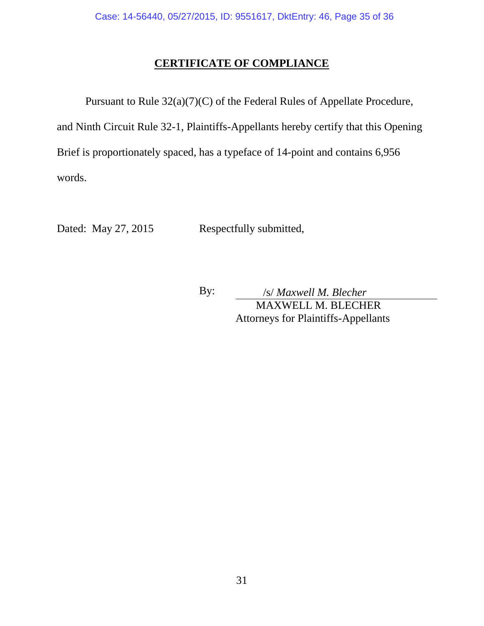# **CERTIFICATE OF COMPLIANCE**

Pursuant to Rule 32(a)(7)(C) of the Federal Rules of Appellate Procedure, and Ninth Circuit Rule 32-1, Plaintiffs-Appellants hereby certify that this Opening Brief is proportionately spaced, has a typeface of 14-point and contains 6,956 words.

Dated: May 27, 2015 Respectfully submitted,

By: /s/ *Maxwell M. Blecher* MAXWELL M. BLECHER Attorneys for Plaintiffs-Appellants